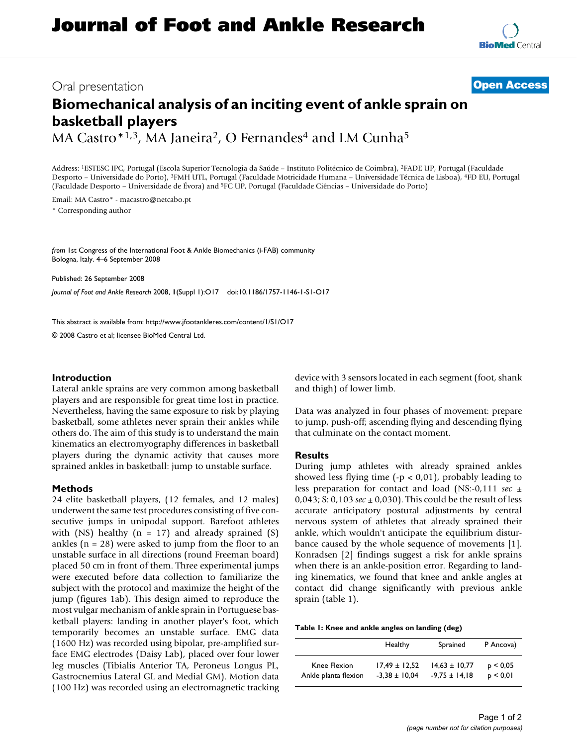# Oral presentation **[Open Access](http://www.biomedcentral.com/info/about/charter/)**

# **Biomechanical analysis of an inciting event of ankle sprain on basketball players**

MA Castro\*<sup>1,3</sup>, MA Janeira<sup>2</sup>, O Fernandes<sup>4</sup> and LM Cunha<sup>5</sup>

Address: 1ESTESC IPC, Portugal (Escola Superior Tecnologia da Saúde – Instituto Politécnico de Coimbra), 2FADE UP, Portugal (Faculdade Desporto – Universidade do Porto), 3FMH UTL, Portugal (Faculdade Motricidade Humana – Universidade Técnica de Lisboa), 4FD EU, Portugal (Faculdade Desporto – Universidade de Évora) and 5FC UP, Portugal (Faculdade Ciências – Universidade do Porto)

Email: MA Castro\* - macastro@netcabo.pt \* Corresponding author

*from* 1st Congress of the International Foot & Ankle Biomechanics (i-FAB) community Bologna, Italy. 4–6 September 2008

Published: 26 September 2008

*Journal of Foot and Ankle Research* 2008, **1**(Suppl 1):O17 doi:10.1186/1757-1146-1-S1-O17

[This abstract is available from: http://www.jfootankleres.com/content/1/S1/O17](http://www.jfootankleres.com/content/1/S1/O17)

© 2008 Castro et al; licensee BioMed Central Ltd.

### **Introduction**

Lateral ankle sprains are very common among basketball players and are responsible for great time lost in practice. Nevertheless, having the same exposure to risk by playing basketball, some athletes never sprain their ankles while others do. The aim of this study is to understand the main kinematics an electromyography differences in basketball players during the dynamic activity that causes more sprained ankles in basketball: jump to unstable surface.

#### **Methods**

24 elite basketball players, (12 females, and 12 males) underwent the same test procedures consisting of five consecutive jumps in unipodal support. Barefoot athletes with (NS) healthy ( $n = 17$ ) and already sprained (S) ankles  $(n = 28)$  were asked to jump from the floor to an unstable surface in all directions (round Freeman board) placed 50 cm in front of them. Three experimental jumps were executed before data collection to familiarize the subject with the protocol and maximize the height of the jump (figures 1ab). This design aimed to reproduce the most vulgar mechanism of ankle sprain in Portuguese basketball players: landing in another player's foot, which temporarily becomes an unstable surface. EMG data (1600 Hz) was recorded using bipolar, pre-amplified surface EMG electrodes (Daisy Lab), placed over four lower leg muscles (Tibialis Anterior TA, Peroneus Longus PL, Gastrocnemius Lateral GL and Medial GM). Motion data (100 Hz) was recorded using an electromagnetic tracking device with 3 sensors located in each segment (foot, shank and thigh) of lower limb.

Data was analyzed in four phases of movement: prepare to jump, push-off; ascending flying and descending flying that culminate on the contact moment.

### **Results**

During jump athletes with already sprained ankles showed less flying time  $(-p < 0.01)$ , probably leading to less preparation for contact and load (NS:-0,111 *sec* ± 0,043; S: 0,103 *sec* ± 0,030). This could be the result of less accurate anticipatory postural adjustments by central nervous system of athletes that already sprained their ankle, which wouldn't anticipate the equilibrium disturbance caused by the whole sequence of movements [1]. Konradsen [2] findings suggest a risk for ankle sprains when there is an ankle-position error. Regarding to landing kinematics, we found that knee and ankle angles at contact did change significantly with previous ankle sprain (table 1).

|  |  | Table 1: Knee and ankle angles on landing (deg) |  |
|--|--|-------------------------------------------------|--|
|--|--|-------------------------------------------------|--|

|                      | Healthy           | Sprained          | P Ancova)    |
|----------------------|-------------------|-------------------|--------------|
| Knee Flexion         | $17,49 \pm 12,52$ | $14.63 \pm 10.77$ | $p \le 0.05$ |
| Ankle planta flexion | $-3.38 \pm 10.04$ | $-9.75 \pm 14.18$ | p < 0.01     |